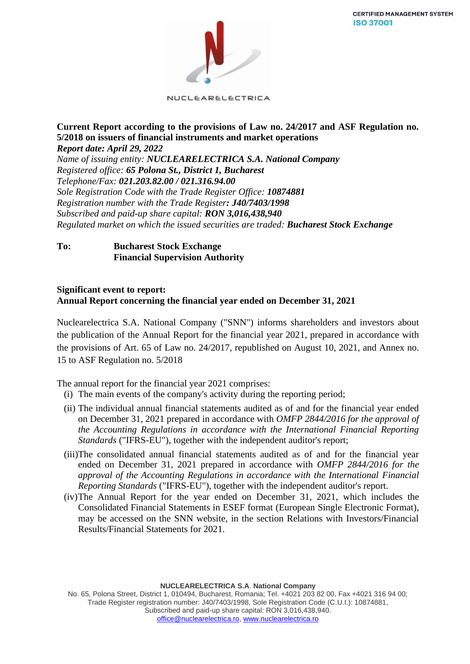

NUCLEARELECTRICA

### **Current Report according to the provisions of Law no. 24/2017 and ASF Regulation no. 5/2018 on issuers of financial instruments and market operations** *Report date: April 29, 2022*

*Name of issuing entity: NUCLEARELECTRICA S.A. National Company Registered office: 65 Polona St., District 1, Bucharest Telephone/Fax: 021.203.82.00 / 021.316.94.00 Sole Registration Code with the Trade Register Office: 10874881 Registration number with the Trade Register: J40/7403/1998 Subscribed and paid-up share capital: RON 3,016,438,940 Regulated market on which the issued securities are traded: Bucharest Stock Exchange*

## **To: Bucharest Stock Exchange Financial Supervision Authority**

## **Significant event to report: Annual Report concerning the financial year ended on December 31, 2021**

Nuclearelectrica S.A. National Company ("SNN") informs shareholders and investors about the publication of the Annual Report for the financial year 2021, prepared in accordance with the provisions of Art. 65 of Law no. 24/2017, republished on August 10, 2021, and Annex no. 15 to ASF Regulation no. 5/2018

The annual report for the financial year 2021 comprises:

- (i) The main events of the company's activity during the reporting period;
- (ii) The individual annual financial statements audited as of and for the financial year ended on December 31, 2021 prepared in accordance with *OMFP 2844/2016 for the approval of the Accounting Regulations in accordance with the International Financial Reporting Standards* ("IFRS-EU"), together with the independent auditor's report;
- (iii)The consolidated annual financial statements audited as of and for the financial year ended on December 31, 2021 prepared in accordance with *OMFP 2844/2016 for the approval of the Accounting Regulations in accordance with the International Financial Reporting Standards* ("IFRS-EU"), together with the independent auditor's report.
- (iv)The Annual Report for the year ended on December 31, 2021, which includes the Consolidated Financial Statements in ESEF format (European Single Electronic Format), may be accessed on the SNN website, in the section Relations with Investors/Financial Results/Financial Statements for 2021.

**NUCLEARELECTRICA S.A**. **National Company**

No. 65, Polona Street, District 1, 010494, Bucharest, Romania; Tel. +4021 203 82 00, Fax +4021 316 94 00; Trade Register registration number: J40/7403/1998, Sole Registration Code (C.U.I.): 10874881, Subscribed and paid-up share capital: RON 3,016,438,940. [office@nuclearelectrica.ro,](mailto:office@nuclearelectrica.ro) [www.nuclearelectrica.ro](http://www.nuclearelectrica.ro/)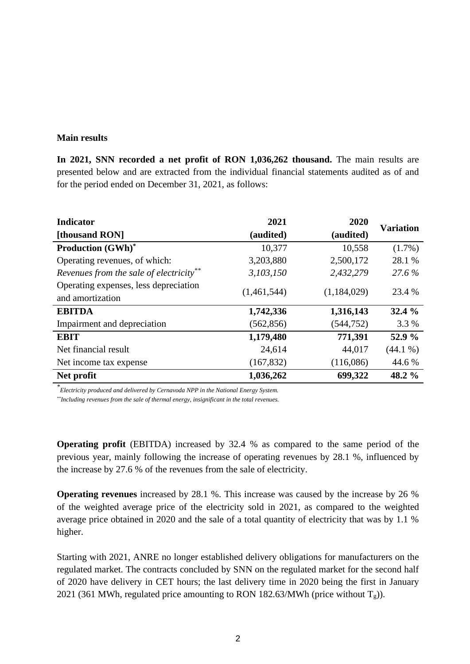#### **Main results**

**In 2021, SNN recorded a net profit of RON 1,036,262 thousand.** The main results are presented below and are extracted from the individual financial statements audited as of and for the period ended on December 31, 2021, as follows:

| <b>Indicator</b>                                          | 2021        | 2020        | <b>Variation</b> |
|-----------------------------------------------------------|-------------|-------------|------------------|
| [thousand RON]                                            | (audited)   | (audited)   |                  |
| <b>Production (GWh)*</b>                                  | 10,377      | 10,558      | $(1.7\%)$        |
| Operating revenues, of which:                             | 3,203,880   | 2,500,172   | 28.1 %           |
| Revenues from the sale of electricity**                   | 3,103,150   | 2,432,279   | 27.6 %           |
| Operating expenses, less depreciation<br>and amortization | (1,461,544) | (1,184,029) | 23.4 %           |
| <b>EBITDA</b>                                             | 1,742,336   | 1,316,143   | 32.4 %           |
| Impairment and depreciation                               | (562, 856)  | (544, 752)  | 3.3 %            |
| <b>EBIT</b>                                               | 1,179,480   | 771,391     | 52.9 %           |
| Net financial result                                      | 24,614      | 44,017      | (44.1%           |
| Net income tax expense                                    | (167, 832)  | (116,086)   | 44.6 %           |
| Net profit                                                | 1,036,262   | 699,322     | 48.2 %           |

*\* Electricity produced and delivered by Cernavoda NPP in the National Energy System.*

*\*\*Including revenues from the sale of thermal energy, insignificant in the total revenues.*

**Operating profit** (EBITDA) increased by 32.4 % as compared to the same period of the previous year, mainly following the increase of operating revenues by 28.1 %, influenced by the increase by 27.6 % of the revenues from the sale of electricity.

**Operating revenues** increased by 28.1 %. This increase was caused by the increase by 26 % of the weighted average price of the electricity sold in 2021, as compared to the weighted average price obtained in 2020 and the sale of a total quantity of electricity that was by 1.1 % higher.

Starting with 2021, ANRE no longer established delivery obligations for manufacturers on the regulated market. The contracts concluded by SNN on the regulated market for the second half of 2020 have delivery in CET hours; the last delivery time in 2020 being the first in January 2021 (361 MWh, regulated price amounting to RON 182.63/MWh (price without  $T_g$ )).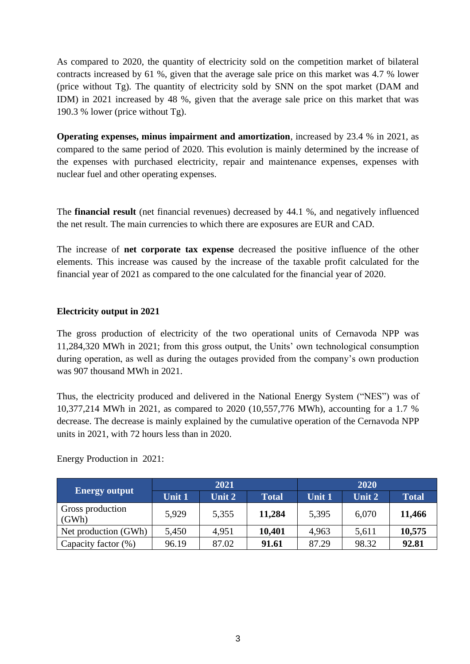As compared to 2020, the quantity of electricity sold on the competition market of bilateral contracts increased by 61 %, given that the average sale price on this market was 4.7 % lower (price without Tg). The quantity of electricity sold by SNN on the spot market (DAM and IDM) in 2021 increased by 48 %, given that the average sale price on this market that was 190.3 % lower (price without Tg).

**Operating expenses, minus impairment and amortization**, increased by 23.4 % in 2021, as compared to the same period of 2020. This evolution is mainly determined by the increase of the expenses with purchased electricity, repair and maintenance expenses, expenses with nuclear fuel and other operating expenses.

The **financial result** (net financial revenues) decreased by 44.1 %, and negatively influenced the net result. The main currencies to which there are exposures are EUR and CAD.

The increase of **net corporate tax expense** decreased the positive influence of the other elements. This increase was caused by the increase of the taxable profit calculated for the financial year of 2021 as compared to the one calculated for the financial year of 2020.

# **Electricity output in 2021**

The gross production of electricity of the two operational units of Cernavoda NPP was 11,284,320 MWh in 2021; from this gross output, the Units' own technological consumption during operation, as well as during the outages provided from the company's own production was 907 thousand MWh in 2021.

Thus, the electricity produced and delivered in the National Energy System ("NES") was of 10,377,214 MWh in 2021, as compared to 2020 (10,557,776 MWh), accounting for a 1.7 % decrease. The decrease is mainly explained by the cumulative operation of the Cernavoda NPP units in 2021, with 72 hours less than in 2020.

|                           | 2021          |        |              | 2020   |        |              |
|---------------------------|---------------|--------|--------------|--------|--------|--------------|
| <b>Energy output</b>      | <b>Unit 1</b> | Unit 2 | <b>Total</b> | Unit 1 | Unit 2 | <b>Total</b> |
| Gross production<br>(GWh) | 5.929         | 5,355  | 11,284       | 5,395  | 6,070  | 11,466       |
| Net production (GWh)      | 5,450         | 4,951  | 10,401       | 4,963  | 5,611  | 10,575       |
| Capacity factor (%)       | 96.19         | 87.02  | 91.61        | 87.29  | 98.32  | 92.81        |

Energy Production in 2021: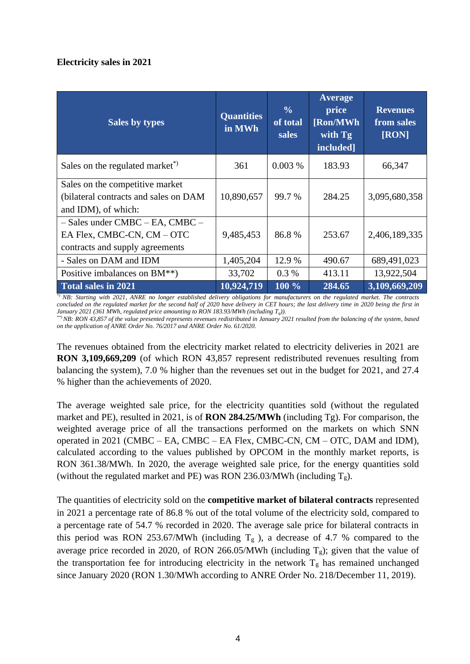# **Electricity sales in 2021**

| <b>Sales by types</b>                                                                                  | <b>Quantities</b><br>in MWh | $\frac{0}{0}$<br>of total<br><b>sales</b> | <b>Average</b><br>price<br>[Ron/MWh]<br>with Tg<br>included] | <b>Revenues</b><br>from sales<br>[RON] |
|--------------------------------------------------------------------------------------------------------|-----------------------------|-------------------------------------------|--------------------------------------------------------------|----------------------------------------|
| Sales on the regulated market <sup>*</sup>                                                             | 361                         | 0.003%                                    | 183.93                                                       | 66,347                                 |
| Sales on the competitive market<br>(bilateral contracts and sales on DAM<br>and IDM), of which:        | 10,890,657                  | 99.7 %                                    | 284.25                                                       | 3,095,680,358                          |
| $-$ Sales under CMBC $-$ EA, CMBC $-$<br>EA Flex, CMBC-CN, CM - OTC<br>contracts and supply agreements | 9,485,453                   | 86.8%                                     | 253.67                                                       | 2,406,189,335                          |
| - Sales on DAM and IDM                                                                                 | 1,405,204                   | 12.9 %                                    | 490.67                                                       | 689,491,023                            |
| Positive imbalances on BM**)                                                                           | 33,702                      | $0.3\%$                                   | 413.11                                                       | 13,922,504                             |
| Total sales in 2021                                                                                    | 10,924,719                  | 100 %                                     | 284.65                                                       | 3,109,669,209                          |

*\*) NB: Starting with 2021, ANRE no longer established delivery obligations for manufacturers on the regulated market. The contracts concluded on the regulated market for the second half of 2020 have delivery in CET hours; the last delivery time in 2020 being the first in January 2021 (361 MWh, regulated price amounting to RON 183.93/MWh (including Tg)).*

*\*\*) NB: RON 43,857 of the value presented represents revenues redistributed in January 2021 resulted from the balancing of the system, based on the application of ANRE Order No. 76/2017 and ANRE Order No. 61/2020.* 

The revenues obtained from the electricity market related to electricity deliveries in 2021 are **RON 3,109,669,209** (of which RON 43,857 represent redistributed revenues resulting from balancing the system), 7.0 % higher than the revenues set out in the budget for 2021, and 27.4 % higher than the achievements of 2020.

The average weighted sale price, for the electricity quantities sold (without the regulated market and PE), resulted in 2021, is of **RON 284.25/MWh** (including Tg). For comparison, the weighted average price of all the transactions performed on the markets on which SNN operated in 2021 (CMBC – EA, CMBC – EA Flex, CMBC-CN, CM – OTC, DAM and IDM), calculated according to the values published by OPCOM in the monthly market reports, is RON 361.38/MWh. In 2020, the average weighted sale price, for the energy quantities sold (without the regulated market and PE) was RON 236.03/MWh (including  $T_g$ ).

The quantities of electricity sold on the **competitive market of bilateral contracts** represented in 2021 a percentage rate of 86.8 % out of the total volume of the electricity sold, compared to a percentage rate of 54.7 % recorded in 2020. The average sale price for bilateral contracts in this period was RON 253.67/MWh (including  $T_g$ ), a decrease of 4.7 % compared to the average price recorded in 2020, of RON 266.05/MWh (including  $T_g$ ); given that the value of the transportation fee for introducing electricity in the network  $T_g$  has remained unchanged since January 2020 (RON 1.30/MWh according to ANRE Order No. 218/December 11, 2019).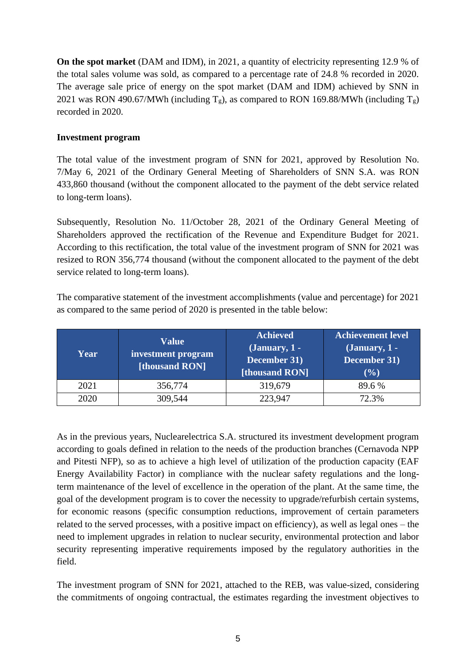**On the spot market** (DAM and IDM), in 2021, a quantity of electricity representing 12.9 % of the total sales volume was sold, as compared to a percentage rate of 24.8 % recorded in 2020. The average sale price of energy on the spot market (DAM and IDM) achieved by SNN in 2021 was RON 490.67/MWh (including  $T_g$ ), as compared to RON 169.88/MWh (including  $T_g$ ) recorded in 2020.

# **Investment program**

The total value of the investment program of SNN for 2021, approved by Resolution No. 7/May 6, 2021 of the Ordinary General Meeting of Shareholders of SNN S.A. was RON 433,860 thousand (without the component allocated to the payment of the debt service related to long-term loans).

Subsequently, Resolution No. 11/October 28, 2021 of the Ordinary General Meeting of Shareholders approved the rectification of the Revenue and Expenditure Budget for 2021. According to this rectification, the total value of the investment program of SNN for 2021 was resized to RON 356,774 thousand (without the component allocated to the payment of the debt service related to long-term loans).

The comparative statement of the investment accomplishments (value and percentage) for 2021 as compared to the same period of 2020 is presented in the table below:

| Year | Value<br>investment program<br>[thousand RON] | <b>Achieved</b><br>$(January, 1 -$<br>December 31)<br>[thousand RON] | <b>Achievement level</b><br>$(January, 1 -$<br>December 31)<br>(9/0) |
|------|-----------------------------------------------|----------------------------------------------------------------------|----------------------------------------------------------------------|
| 2021 | 356,774                                       | 319,679                                                              | 89.6 %                                                               |
| 2020 | 309,544                                       | 223.947                                                              | 72.3%                                                                |

As in the previous years, Nuclearelectrica S.A. structured its investment development program according to goals defined in relation to the needs of the production branches (Cernavoda NPP and Pitesti NFP), so as to achieve a high level of utilization of the production capacity (EAF Energy Availability Factor) in compliance with the nuclear safety regulations and the longterm maintenance of the level of excellence in the operation of the plant. At the same time, the goal of the development program is to cover the necessity to upgrade/refurbish certain systems, for economic reasons (specific consumption reductions, improvement of certain parameters related to the served processes, with a positive impact on efficiency), as well as legal ones – the need to implement upgrades in relation to nuclear security, environmental protection and labor security representing imperative requirements imposed by the regulatory authorities in the field.

The investment program of SNN for 2021, attached to the REB, was value-sized, considering the commitments of ongoing contractual, the estimates regarding the investment objectives to